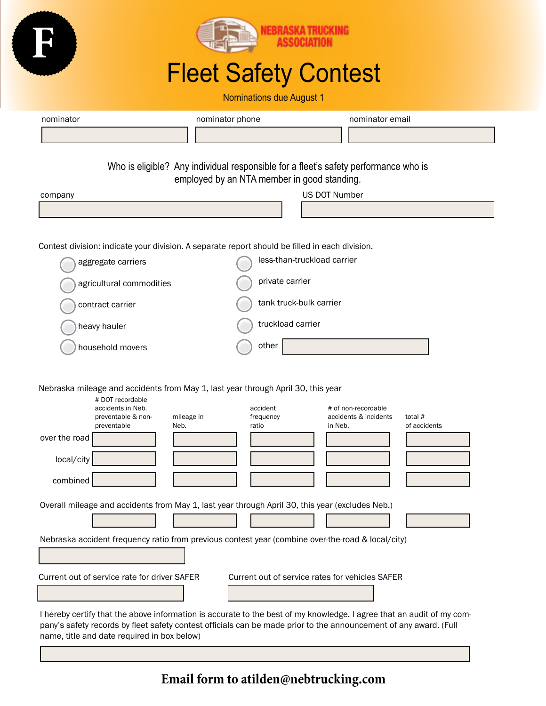

**Email form to atilden@nebtrucking.com**